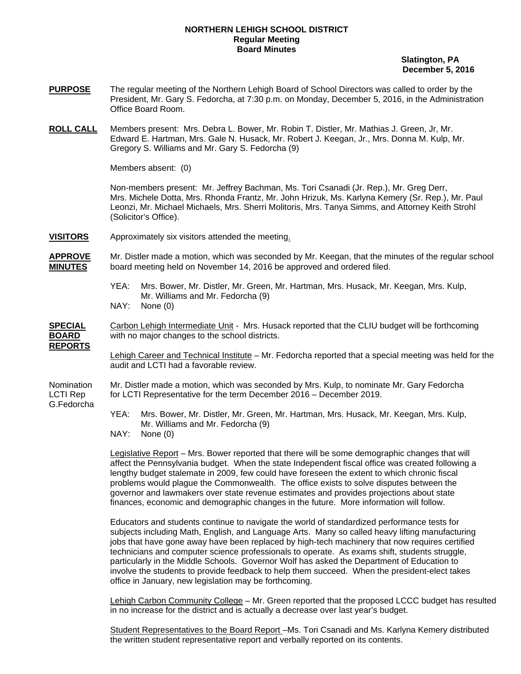## **NORTHERN LEHIGH SCHOOL DISTRICT Regular Meeting Board Minutes**

 **Slatington, PA December 5, 2016** 

- **PURPOSE** The regular meeting of the Northern Lehigh Board of School Directors was called to order by the President, Mr. Gary S. Fedorcha, at 7:30 p.m. on Monday, December 5, 2016, in the Administration Office Board Room.
- **ROLL CALL** Members present: Mrs. Debra L. Bower, Mr. Robin T. Distler, Mr. Mathias J. Green, Jr, Mr. Edward E. Hartman, Mrs. Gale N. Husack, Mr. Robert J. Keegan, Jr., Mrs. Donna M. Kulp, Mr. Gregory S. Williams and Mr. Gary S. Fedorcha (9)

Members absent: (0)

Non-members present: Mr. Jeffrey Bachman, Ms. Tori Csanadi (Jr. Rep.), Mr. Greg Derr, Mrs. Michele Dotta, Mrs. Rhonda Frantz, Mr. John Hrizuk, Ms. Karlyna Kemery (Sr. Rep.), Mr. Paul Leonzi, Mr. Michael Michaels, Mrs. Sherri Molitoris, Mrs. Tanya Simms, and Attorney Keith Strohl (Solicitor's Office).

**VISITORS** Approximately six visitors attended the meeting.

**APPROVE** Mr. Distler made a motion, which was seconded by Mr. Keegan, that the minutes of the regular school **MINUTES** board meeting held on November 14, 2016 be approved and ordered filed.

- YEA: Mrs. Bower, Mr. Distler, Mr. Green, Mr. Hartman, Mrs. Husack, Mr. Keegan, Mrs. Kulp, Mr. Williams and Mr. Fedorcha (9)
- NAY: None (0)

**SPECIAL** Carbon Lehigh Intermediate Unit - Mrs. Husack reported that the CLIU budget will be forthcoming **BOARD** with no major changes to the school districts. **REPORTS**

> Lehigh Career and Technical Institute – Mr. Fedorcha reported that a special meeting was held for the audit and LCTI had a favorable review.

Nomination Mr. Distler made a motion, which was seconded by Mrs. Kulp, to nominate Mr. Gary Fedorcha LCTI Rep for LCTI Representative for the term December 2016 – December 2019. G.Fedorcha

- YEA: Mrs. Bower, Mr. Distler, Mr. Green, Mr. Hartman, Mrs. Husack, Mr. Keegan, Mrs. Kulp, Mr. Williams and Mr. Fedorcha (9)
- NAY: None (0)

 Legislative Report – Mrs. Bower reported that there will be some demographic changes that will affect the Pennsylvania budget. When the state Independent fiscal office was created following a lengthy budget stalemate in 2009, few could have foreseen the extent to which chronic fiscal problems would plague the Commonwealth. The office exists to solve disputes between the governor and lawmakers over state revenue estimates and provides projections about state finances, economic and demographic changes in the future. More information will follow.

Educators and students continue to navigate the world of standardized performance tests for subjects including Math, English, and Language Arts. Many so called heavy lifting manufacturing jobs that have gone away have been replaced by high-tech machinery that now requires certified technicians and computer science professionals to operate. As exams shift, students struggle, particularly in the Middle Schools. Governor Wolf has asked the Department of Education to involve the students to provide feedback to help them succeed. When the president-elect takes office in January, new legislation may be forthcoming.

Lehigh Carbon Community College – Mr. Green reported that the proposed LCCC budget has resulted in no increase for the district and is actually a decrease over last year's budget.

 Student Representatives to the Board Report –Ms. Tori Csanadi and Ms. Karlyna Kemery distributed the written student representative report and verbally reported on its contents.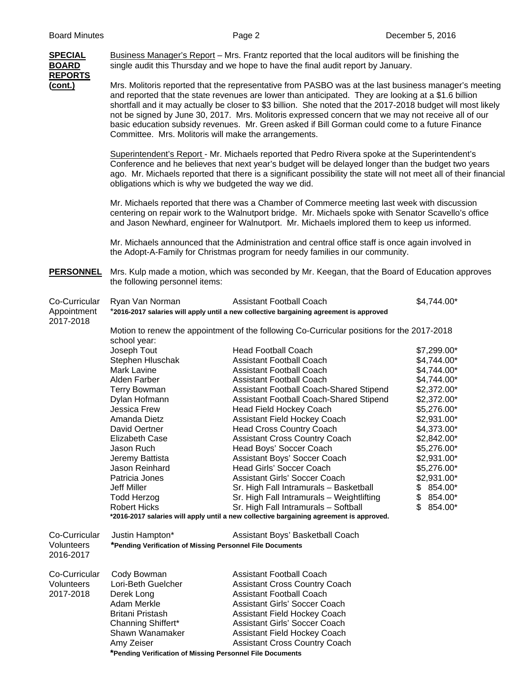| <b>SPECIAL</b><br><b>BOARD</b><br><b>REPORTS</b> | Business Manager's Report - Mrs. Frantz reported that the local auditors will be finishing the<br>single audit this Thursday and we hope to have the final audit report by January.                                                                                                                                                                                                                                                                                                                                                                                                                                                                                                                                                                                                                                                                                                                                                                                                                                                                                                                                                                                                                                                                                                            |                                                                                                                           |                                                                                                 |  |  |                                                                                                                                                                                    |
|--------------------------------------------------|------------------------------------------------------------------------------------------------------------------------------------------------------------------------------------------------------------------------------------------------------------------------------------------------------------------------------------------------------------------------------------------------------------------------------------------------------------------------------------------------------------------------------------------------------------------------------------------------------------------------------------------------------------------------------------------------------------------------------------------------------------------------------------------------------------------------------------------------------------------------------------------------------------------------------------------------------------------------------------------------------------------------------------------------------------------------------------------------------------------------------------------------------------------------------------------------------------------------------------------------------------------------------------------------|---------------------------------------------------------------------------------------------------------------------------|-------------------------------------------------------------------------------------------------|--|--|------------------------------------------------------------------------------------------------------------------------------------------------------------------------------------|
| $(cont.)$                                        | Mrs. Molitoris reported that the representative from PASBO was at the last business manager's meeting<br>and reported that the state revenues are lower than anticipated. They are looking at a \$1.6 billion<br>shortfall and it may actually be closer to \$3 billion. She noted that the 2017-2018 budget will most likely<br>not be signed by June 30, 2017. Mrs. Molitoris expressed concern that we may not receive all of our<br>basic education subsidy revenues. Mr. Green asked if Bill Gorman could come to a future Finance<br>Committee. Mrs. Molitoris will make the arrangements.<br>Superintendent's Report - Mr. Michaels reported that Pedro Rivera spoke at the Superintendent's<br>Conference and he believes that next year's budget will be delayed longer than the budget two years<br>ago. Mr. Michaels reported that there is a significant possibility the state will not meet all of their financial<br>obligations which is why we budgeted the way we did.<br>Mr. Michaels reported that there was a Chamber of Commerce meeting last week with discussion<br>centering on repair work to the Walnutport bridge. Mr. Michaels spoke with Senator Scavello's office<br>and Jason Newhard, engineer for Walnutport. Mr. Michaels implored them to keep us informed. |                                                                                                                           |                                                                                                 |  |  |                                                                                                                                                                                    |
|                                                  |                                                                                                                                                                                                                                                                                                                                                                                                                                                                                                                                                                                                                                                                                                                                                                                                                                                                                                                                                                                                                                                                                                                                                                                                                                                                                                |                                                                                                                           |                                                                                                 |  |  |                                                                                                                                                                                    |
|                                                  |                                                                                                                                                                                                                                                                                                                                                                                                                                                                                                                                                                                                                                                                                                                                                                                                                                                                                                                                                                                                                                                                                                                                                                                                                                                                                                |                                                                                                                           |                                                                                                 |  |  | Mr. Michaels announced that the Administration and central office staff is once again involved in<br>the Adopt-A-Family for Christmas program for needy families in our community. |
|                                                  | <b>PERSONNEL</b>                                                                                                                                                                                                                                                                                                                                                                                                                                                                                                                                                                                                                                                                                                                                                                                                                                                                                                                                                                                                                                                                                                                                                                                                                                                                               | the following personnel items:                                                                                            | Mrs. Kulp made a motion, which was seconded by Mr. Keegan, that the Board of Education approves |  |  |                                                                                                                                                                                    |
| Co-Curricular<br>Appointment<br>2017-2018        | Ryan Van Norman                                                                                                                                                                                                                                                                                                                                                                                                                                                                                                                                                                                                                                                                                                                                                                                                                                                                                                                                                                                                                                                                                                                                                                                                                                                                                | <b>Assistant Football Coach</b><br>*2016-2017 salaries will apply until a new collective bargaining agreement is approved | \$4,744.00*                                                                                     |  |  |                                                                                                                                                                                    |
|                                                  | Motion to renew the appointment of the following Co-Curricular positions for the 2017-2018                                                                                                                                                                                                                                                                                                                                                                                                                                                                                                                                                                                                                                                                                                                                                                                                                                                                                                                                                                                                                                                                                                                                                                                                     |                                                                                                                           |                                                                                                 |  |  |                                                                                                                                                                                    |
|                                                  | school year:                                                                                                                                                                                                                                                                                                                                                                                                                                                                                                                                                                                                                                                                                                                                                                                                                                                                                                                                                                                                                                                                                                                                                                                                                                                                                   |                                                                                                                           |                                                                                                 |  |  |                                                                                                                                                                                    |
|                                                  | Joseph Tout                                                                                                                                                                                                                                                                                                                                                                                                                                                                                                                                                                                                                                                                                                                                                                                                                                                                                                                                                                                                                                                                                                                                                                                                                                                                                    | <b>Head Football Coach</b>                                                                                                | \$7,299.00*                                                                                     |  |  |                                                                                                                                                                                    |
|                                                  | Stephen Hluschak                                                                                                                                                                                                                                                                                                                                                                                                                                                                                                                                                                                                                                                                                                                                                                                                                                                                                                                                                                                                                                                                                                                                                                                                                                                                               | <b>Assistant Football Coach</b>                                                                                           | \$4,744.00*                                                                                     |  |  |                                                                                                                                                                                    |
|                                                  | Mark Lavine                                                                                                                                                                                                                                                                                                                                                                                                                                                                                                                                                                                                                                                                                                                                                                                                                                                                                                                                                                                                                                                                                                                                                                                                                                                                                    | <b>Assistant Football Coach</b>                                                                                           | \$4,744.00*                                                                                     |  |  |                                                                                                                                                                                    |
|                                                  | Alden Farber                                                                                                                                                                                                                                                                                                                                                                                                                                                                                                                                                                                                                                                                                                                                                                                                                                                                                                                                                                                                                                                                                                                                                                                                                                                                                   | <b>Assistant Football Coach</b>                                                                                           | \$4,744.00*                                                                                     |  |  |                                                                                                                                                                                    |
|                                                  | Terry Bowman                                                                                                                                                                                                                                                                                                                                                                                                                                                                                                                                                                                                                                                                                                                                                                                                                                                                                                                                                                                                                                                                                                                                                                                                                                                                                   | Assistant Football Coach-Shared Stipend                                                                                   | \$2,372.00*                                                                                     |  |  |                                                                                                                                                                                    |
|                                                  | Dylan Hofmann                                                                                                                                                                                                                                                                                                                                                                                                                                                                                                                                                                                                                                                                                                                                                                                                                                                                                                                                                                                                                                                                                                                                                                                                                                                                                  | Assistant Football Coach-Shared Stipend                                                                                   | \$2,372.00*                                                                                     |  |  |                                                                                                                                                                                    |
|                                                  | Jessica Frew                                                                                                                                                                                                                                                                                                                                                                                                                                                                                                                                                                                                                                                                                                                                                                                                                                                                                                                                                                                                                                                                                                                                                                                                                                                                                   | Head Field Hockey Coach                                                                                                   | \$5,276.00*                                                                                     |  |  |                                                                                                                                                                                    |
|                                                  | Amanda Dietz                                                                                                                                                                                                                                                                                                                                                                                                                                                                                                                                                                                                                                                                                                                                                                                                                                                                                                                                                                                                                                                                                                                                                                                                                                                                                   | Assistant Field Hockey Coach                                                                                              | \$2,931.00*                                                                                     |  |  |                                                                                                                                                                                    |
|                                                  | David Oertner                                                                                                                                                                                                                                                                                                                                                                                                                                                                                                                                                                                                                                                                                                                                                                                                                                                                                                                                                                                                                                                                                                                                                                                                                                                                                  | <b>Head Cross Country Coach</b>                                                                                           | \$4,373.00*                                                                                     |  |  |                                                                                                                                                                                    |
|                                                  | Elizabeth Case                                                                                                                                                                                                                                                                                                                                                                                                                                                                                                                                                                                                                                                                                                                                                                                                                                                                                                                                                                                                                                                                                                                                                                                                                                                                                 | <b>Assistant Cross Country Coach</b>                                                                                      | \$2,842.00*                                                                                     |  |  |                                                                                                                                                                                    |
|                                                  | Jason Ruch                                                                                                                                                                                                                                                                                                                                                                                                                                                                                                                                                                                                                                                                                                                                                                                                                                                                                                                                                                                                                                                                                                                                                                                                                                                                                     | Head Boys' Soccer Coach                                                                                                   | \$5,276.00*                                                                                     |  |  |                                                                                                                                                                                    |
|                                                  | Jeremy Battista<br>Jason Reinhard                                                                                                                                                                                                                                                                                                                                                                                                                                                                                                                                                                                                                                                                                                                                                                                                                                                                                                                                                                                                                                                                                                                                                                                                                                                              | Assistant Boys' Soccer Coach<br><b>Head Girls' Soccer Coach</b>                                                           | \$2,931.00*                                                                                     |  |  |                                                                                                                                                                                    |
|                                                  | Patricia Jones                                                                                                                                                                                                                                                                                                                                                                                                                                                                                                                                                                                                                                                                                                                                                                                                                                                                                                                                                                                                                                                                                                                                                                                                                                                                                 | <b>Assistant Girls' Soccer Coach</b>                                                                                      | \$5,276.00*<br>\$2,931.00*                                                                      |  |  |                                                                                                                                                                                    |
|                                                  | <b>Jeff Miller</b>                                                                                                                                                                                                                                                                                                                                                                                                                                                                                                                                                                                                                                                                                                                                                                                                                                                                                                                                                                                                                                                                                                                                                                                                                                                                             | Sr. High Fall Intramurals - Basketball                                                                                    | 854.00*<br>\$                                                                                   |  |  |                                                                                                                                                                                    |
|                                                  | <b>Todd Herzog</b>                                                                                                                                                                                                                                                                                                                                                                                                                                                                                                                                                                                                                                                                                                                                                                                                                                                                                                                                                                                                                                                                                                                                                                                                                                                                             | Sr. High Fall Intramurals - Weightlifting                                                                                 | 854.00*<br>\$                                                                                   |  |  |                                                                                                                                                                                    |
|                                                  | <b>Robert Hicks</b>                                                                                                                                                                                                                                                                                                                                                                                                                                                                                                                                                                                                                                                                                                                                                                                                                                                                                                                                                                                                                                                                                                                                                                                                                                                                            | Sr. High Fall Intramurals - Softball                                                                                      | \$.<br>854.00*                                                                                  |  |  |                                                                                                                                                                                    |
|                                                  | *2016-2017 salaries will apply until a new collective bargaining agreement is approved.                                                                                                                                                                                                                                                                                                                                                                                                                                                                                                                                                                                                                                                                                                                                                                                                                                                                                                                                                                                                                                                                                                                                                                                                        |                                                                                                                           |                                                                                                 |  |  |                                                                                                                                                                                    |
| Co-Curricular<br>Volunteers<br>2016-2017         | Justin Hampton*<br>*Pending Verification of Missing Personnel File Documents                                                                                                                                                                                                                                                                                                                                                                                                                                                                                                                                                                                                                                                                                                                                                                                                                                                                                                                                                                                                                                                                                                                                                                                                                   | Assistant Boys' Basketball Coach                                                                                          |                                                                                                 |  |  |                                                                                                                                                                                    |
| Co-Curricular                                    | Cody Bowman                                                                                                                                                                                                                                                                                                                                                                                                                                                                                                                                                                                                                                                                                                                                                                                                                                                                                                                                                                                                                                                                                                                                                                                                                                                                                    | <b>Assistant Football Coach</b>                                                                                           |                                                                                                 |  |  |                                                                                                                                                                                    |
| Volunteers                                       | Lori-Beth Guelcher                                                                                                                                                                                                                                                                                                                                                                                                                                                                                                                                                                                                                                                                                                                                                                                                                                                                                                                                                                                                                                                                                                                                                                                                                                                                             | <b>Assistant Cross Country Coach</b>                                                                                      |                                                                                                 |  |  |                                                                                                                                                                                    |
| 2017-2018                                        | Derek Long                                                                                                                                                                                                                                                                                                                                                                                                                                                                                                                                                                                                                                                                                                                                                                                                                                                                                                                                                                                                                                                                                                                                                                                                                                                                                     | <b>Assistant Football Coach</b>                                                                                           |                                                                                                 |  |  |                                                                                                                                                                                    |
|                                                  | Adam Merkle                                                                                                                                                                                                                                                                                                                                                                                                                                                                                                                                                                                                                                                                                                                                                                                                                                                                                                                                                                                                                                                                                                                                                                                                                                                                                    | <b>Assistant Girls' Soccer Coach</b>                                                                                      |                                                                                                 |  |  |                                                                                                                                                                                    |
|                                                  | Britani Pristash                                                                                                                                                                                                                                                                                                                                                                                                                                                                                                                                                                                                                                                                                                                                                                                                                                                                                                                                                                                                                                                                                                                                                                                                                                                                               | <b>Assistant Field Hockey Coach</b>                                                                                       |                                                                                                 |  |  |                                                                                                                                                                                    |
|                                                  | Channing Shiffert*<br>Assistant Girls' Soccer Coach                                                                                                                                                                                                                                                                                                                                                                                                                                                                                                                                                                                                                                                                                                                                                                                                                                                                                                                                                                                                                                                                                                                                                                                                                                            |                                                                                                                           |                                                                                                 |  |  |                                                                                                                                                                                    |
|                                                  | Shawn Wanamaker<br>Assistant Field Hockey Coach<br>Amy Zeiser<br><b>Assistant Cross Country Coach</b>                                                                                                                                                                                                                                                                                                                                                                                                                                                                                                                                                                                                                                                                                                                                                                                                                                                                                                                                                                                                                                                                                                                                                                                          |                                                                                                                           |                                                                                                 |  |  |                                                                                                                                                                                    |
|                                                  |                                                                                                                                                                                                                                                                                                                                                                                                                                                                                                                                                                                                                                                                                                                                                                                                                                                                                                                                                                                                                                                                                                                                                                                                                                                                                                |                                                                                                                           |                                                                                                 |  |  |                                                                                                                                                                                    |

 **\*Pending Verification of Missing Personnel File Documents**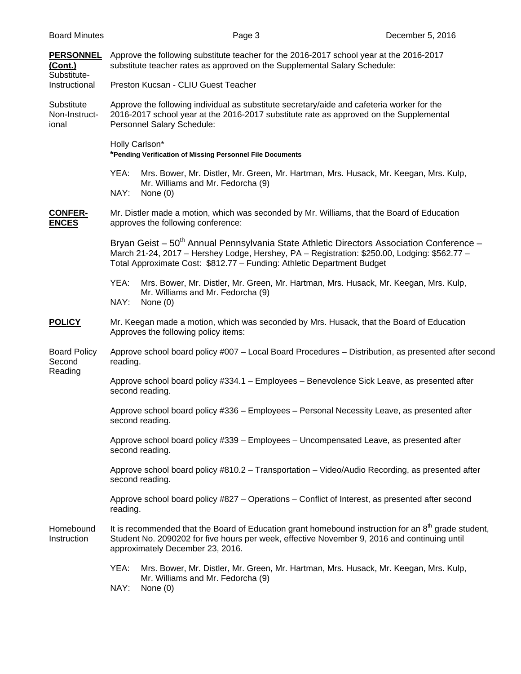| <b>PERSONNEL</b><br>(Cont.)<br>Substitute- | Approve the following substitute teacher for the 2016-2017 school year at the 2016-2017<br>substitute teacher rates as approved on the Supplemental Salary Schedule:                                                                                                           |  |  |  |  |
|--------------------------------------------|--------------------------------------------------------------------------------------------------------------------------------------------------------------------------------------------------------------------------------------------------------------------------------|--|--|--|--|
| Instructional                              | Preston Kucsan - CLIU Guest Teacher                                                                                                                                                                                                                                            |  |  |  |  |
| Substitute<br>Non-Instruct-<br>ional       | Approve the following individual as substitute secretary/aide and cafeteria worker for the<br>2016-2017 school year at the 2016-2017 substitute rate as approved on the Supplemental<br>Personnel Salary Schedule:                                                             |  |  |  |  |
|                                            | Holly Carlson*<br>*Pending Verification of Missing Personnel File Documents                                                                                                                                                                                                    |  |  |  |  |
|                                            | YEA:<br>Mrs. Bower, Mr. Distler, Mr. Green, Mr. Hartman, Mrs. Husack, Mr. Keegan, Mrs. Kulp,<br>Mr. Williams and Mr. Fedorcha (9)<br>NAY:<br>None $(0)$                                                                                                                        |  |  |  |  |
| <b>CONFER-</b><br><b>ENCES</b>             | Mr. Distler made a motion, which was seconded by Mr. Williams, that the Board of Education<br>approves the following conference:                                                                                                                                               |  |  |  |  |
|                                            | Bryan Geist - 50 <sup>th</sup> Annual Pennsylvania State Athletic Directors Association Conference -<br>March 21-24, 2017 - Hershey Lodge, Hershey, PA - Registration: \$250.00, Lodging: \$562.77 -<br>Total Approximate Cost: \$812.77 - Funding: Athletic Department Budget |  |  |  |  |
|                                            | YEA:<br>Mrs. Bower, Mr. Distler, Mr. Green, Mr. Hartman, Mrs. Husack, Mr. Keegan, Mrs. Kulp,<br>Mr. Williams and Mr. Fedorcha (9)                                                                                                                                              |  |  |  |  |
|                                            | NAY:<br>None $(0)$                                                                                                                                                                                                                                                             |  |  |  |  |
| <b>POLICY</b>                              | Mr. Keegan made a motion, which was seconded by Mrs. Husack, that the Board of Education<br>Approves the following policy items:                                                                                                                                               |  |  |  |  |
| <b>Board Policy</b><br>Second<br>Reading   | Approve school board policy #007 - Local Board Procedures - Distribution, as presented after second<br>reading.                                                                                                                                                                |  |  |  |  |
|                                            | Approve school board policy #334.1 - Employees - Benevolence Sick Leave, as presented after<br>second reading.                                                                                                                                                                 |  |  |  |  |
|                                            | Approve school board policy #336 - Employees - Personal Necessity Leave, as presented after<br>second reading.                                                                                                                                                                 |  |  |  |  |
|                                            | Approve school board policy #339 - Employees - Uncompensated Leave, as presented after<br>second reading.                                                                                                                                                                      |  |  |  |  |
|                                            | Approve school board policy #810.2 - Transportation - Video/Audio Recording, as presented after<br>second reading.                                                                                                                                                             |  |  |  |  |
|                                            | Approve school board policy #827 – Operations – Conflict of Interest, as presented after second<br>reading.                                                                                                                                                                    |  |  |  |  |
| Homebound<br>Instruction                   | It is recommended that the Board of Education grant homebound instruction for an 8 <sup>th</sup> grade student,<br>Student No. 2090202 for five hours per week, effective November 9, 2016 and continuing until<br>approximately December 23, 2016.                            |  |  |  |  |
|                                            | YEA:<br>Mrs. Bower, Mr. Distler, Mr. Green, Mr. Hartman, Mrs. Husack, Mr. Keegan, Mrs. Kulp,<br>Mr. Williams and Mr. Fedorcha (9)<br>NAY:<br>None $(0)$                                                                                                                        |  |  |  |  |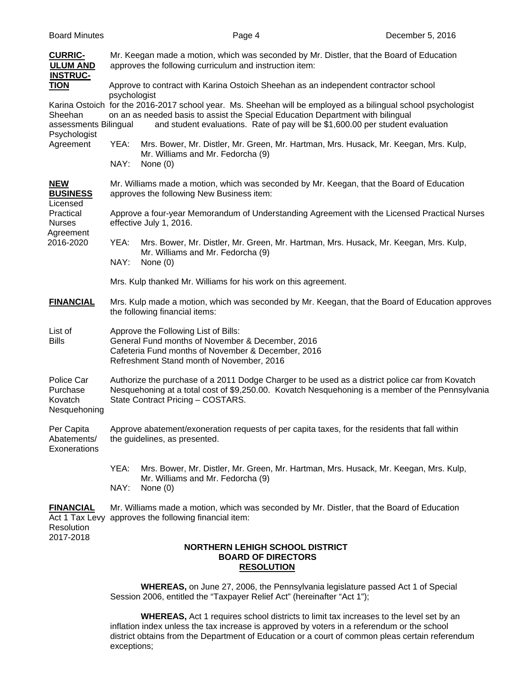| <b>CURRIC-</b><br><b>ULUM AND</b><br><b>INSTRUC-</b>                                              | Mr. Keegan made a motion, which was seconded by Mr. Distler, that the Board of Education<br>approves the following curriculum and instruction item:                                                                                                                                                |  |  |  |  |
|---------------------------------------------------------------------------------------------------|----------------------------------------------------------------------------------------------------------------------------------------------------------------------------------------------------------------------------------------------------------------------------------------------------|--|--|--|--|
| <b>TION</b>                                                                                       | Approve to contract with Karina Ostoich Sheehan as an independent contractor school                                                                                                                                                                                                                |  |  |  |  |
| Sheehan<br>assessments Bilingual<br>Psychologist                                                  | psychologist<br>Karina Ostoich for the 2016-2017 school year. Ms. Sheehan will be employed as a bilingual school psychologist<br>on an as needed basis to assist the Special Education Department with bilingual<br>and student evaluations. Rate of pay will be \$1,600.00 per student evaluation |  |  |  |  |
| Agreement                                                                                         | Mrs. Bower, Mr. Distler, Mr. Green, Mr. Hartman, Mrs. Husack, Mr. Keegan, Mrs. Kulp,<br>YEA:<br>Mr. Williams and Mr. Fedorcha (9)<br>NAY:<br>None $(0)$                                                                                                                                            |  |  |  |  |
| <b>NEW</b><br><b>BUSINESS</b><br>Licensed<br>Practical<br><b>Nurses</b><br>Agreement<br>2016-2020 | Mr. Williams made a motion, which was seconded by Mr. Keegan, that the Board of Education<br>approves the following New Business item:                                                                                                                                                             |  |  |  |  |
|                                                                                                   | Approve a four-year Memorandum of Understanding Agreement with the Licensed Practical Nurses<br>effective July 1, 2016.                                                                                                                                                                            |  |  |  |  |
|                                                                                                   | YEA:<br>Mrs. Bower, Mr. Distler, Mr. Green, Mr. Hartman, Mrs. Husack, Mr. Keegan, Mrs. Kulp,<br>Mr. Williams and Mr. Fedorcha (9)<br>NAY:<br>None $(0)$                                                                                                                                            |  |  |  |  |
|                                                                                                   |                                                                                                                                                                                                                                                                                                    |  |  |  |  |
|                                                                                                   | Mrs. Kulp thanked Mr. Williams for his work on this agreement.                                                                                                                                                                                                                                     |  |  |  |  |
| <b>FINANCIAL</b>                                                                                  | Mrs. Kulp made a motion, which was seconded by Mr. Keegan, that the Board of Education approves<br>the following financial items:                                                                                                                                                                  |  |  |  |  |
| List of<br><b>Bills</b>                                                                           | Approve the Following List of Bills:<br>General Fund months of November & December, 2016<br>Cafeteria Fund months of November & December, 2016<br>Refreshment Stand month of November, 2016                                                                                                        |  |  |  |  |
| Police Car<br>Purchase<br>Kovatch<br>Nesquehoning                                                 | Authorize the purchase of a 2011 Dodge Charger to be used as a district police car from Kovatch<br>Nesquehoning at a total cost of \$9,250.00. Kovatch Nesquehoning is a member of the Pennsylvania<br>State Contract Pricing - COSTARS.                                                           |  |  |  |  |
| Per Capita<br>Abatements/<br>Exonerations                                                         | Approve abatement/exoneration requests of per capita taxes, for the residents that fall within<br>the guidelines, as presented.                                                                                                                                                                    |  |  |  |  |
|                                                                                                   | YEA:<br>Mrs. Bower, Mr. Distler, Mr. Green, Mr. Hartman, Mrs. Husack, Mr. Keegan, Mrs. Kulp,<br>Mr. Williams and Mr. Fedorcha (9)<br>NAY:<br>None $(0)$                                                                                                                                            |  |  |  |  |
| <b>FINANCIAL</b><br>Resolution                                                                    | Mr. Williams made a motion, which was seconded by Mr. Distler, that the Board of Education<br>Act 1 Tax Levy approves the following financial item:                                                                                                                                                |  |  |  |  |
| 2017-2018                                                                                         | <b>NORTHERN LEHIGH SCHOOL DISTRICT</b><br><b>BOARD OF DIRECTORS</b><br><b>RESOLUTION</b>                                                                                                                                                                                                           |  |  |  |  |
|                                                                                                   | <b>WHEREAS</b> , on June 27, 2006, the Pennsylvania legislature passed Act 1 of Special                                                                                                                                                                                                            |  |  |  |  |

Session 2006, entitled the "Taxpayer Relief Act" (hereinafter "Act 1");

 **WHEREAS,** Act 1 requires school districts to limit tax increases to the level set by an inflation index unless the tax increase is approved by voters in a referendum or the school district obtains from the Department of Education or a court of common pleas certain referendum exceptions;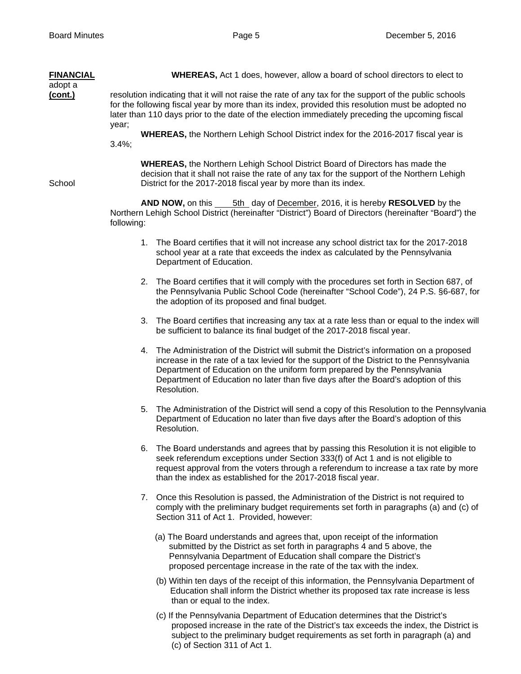| <b>FINANCIAL</b><br>adopt a | <b>WHEREAS, Act 1 does, however, allow a board of school directors to elect to</b>                                                                                                                                                                                                                                                                                      |  |  |
|-----------------------------|-------------------------------------------------------------------------------------------------------------------------------------------------------------------------------------------------------------------------------------------------------------------------------------------------------------------------------------------------------------------------|--|--|
| (cont.)                     | resolution indicating that it will not raise the rate of any tax for the support of the public schools<br>for the following fiscal year by more than its index, provided this resolution must be adopted no<br>later than 110 days prior to the date of the election immediately preceding the upcoming fiscal                                                          |  |  |
|                             | year;<br>WHEREAS, the Northern Lehigh School District index for the 2016-2017 fiscal year is<br>$3.4\%$ ;                                                                                                                                                                                                                                                               |  |  |
| School                      | <b>WHEREAS, the Northern Lehigh School District Board of Directors has made the</b><br>decision that it shall not raise the rate of any tax for the support of the Northern Lehigh<br>District for the 2017-2018 fiscal year by more than its index.                                                                                                                    |  |  |
|                             | <b>AND NOW, on this _____5th__day of December, 2016, it is hereby RESOLVED by the</b><br>Northern Lehigh School District (hereinafter "District") Board of Directors (hereinafter "Board") the<br>following:                                                                                                                                                            |  |  |
|                             | 1. The Board certifies that it will not increase any school district tax for the 2017-2018<br>school year at a rate that exceeds the index as calculated by the Pennsylvania<br>Department of Education.                                                                                                                                                                |  |  |
|                             | 2. The Board certifies that it will comply with the procedures set forth in Section 687, of<br>the Pennsylvania Public School Code (hereinafter "School Code"), 24 P.S. §6-687, for<br>the adoption of its proposed and final budget.                                                                                                                                   |  |  |
|                             | 3. The Board certifies that increasing any tax at a rate less than or equal to the index will<br>be sufficient to balance its final budget of the 2017-2018 fiscal year.                                                                                                                                                                                                |  |  |
|                             | 4. The Administration of the District will submit the District's information on a proposed<br>increase in the rate of a tax levied for the support of the District to the Pennsylvania<br>Department of Education on the uniform form prepared by the Pennsylvania<br>Department of Education no later than five days after the Board's adoption of this<br>Resolution. |  |  |
|                             | 5. The Administration of the District will send a copy of this Resolution to the Pennsylvania<br>Department of Education no later than five days after the Board's adoption of this<br>Resolution.                                                                                                                                                                      |  |  |
|                             | 6. The Board understands and agrees that by passing this Resolution it is not eligible to<br>seek referendum exceptions under Section 333(f) of Act 1 and is not eligible to<br>request approval from the voters through a referendum to increase a tax rate by more<br>than the index as established for the 2017-2018 fiscal year.                                    |  |  |
|                             | 7. Once this Resolution is passed, the Administration of the District is not required to<br>comply with the preliminary budget requirements set forth in paragraphs (a) and (c) of<br>Section 311 of Act 1. Provided, however:                                                                                                                                          |  |  |
|                             | (a) The Board understands and agrees that, upon receipt of the information<br>submitted by the District as set forth in paragraphs 4 and 5 above, the<br>Pennsylvania Department of Education shall compare the District's<br>proposed percentage increase in the rate of the tax with the index.                                                                       |  |  |
|                             | (b) Within ten days of the receipt of this information, the Pennsylvania Department of<br>Education shall inform the District whether its proposed tax rate increase is less<br>than or equal to the index.                                                                                                                                                             |  |  |

 (c) If the Pennsylvania Department of Education determines that the District's proposed increase in the rate of the District's tax exceeds the index, the District is subject to the preliminary budget requirements as set forth in paragraph (a) and (c) of Section 311 of Act 1.